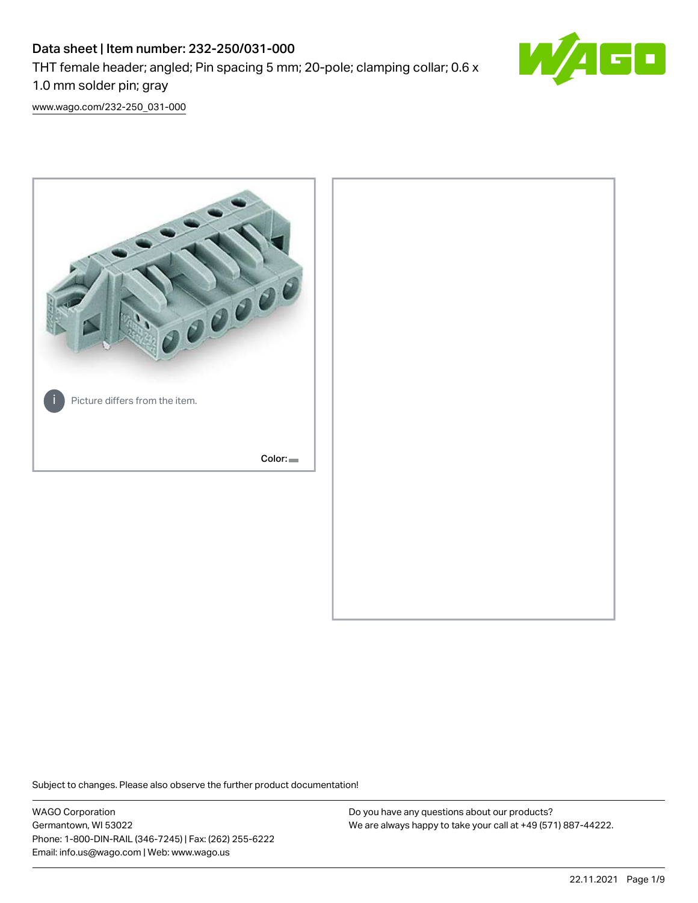# Data sheet | Item number: 232-250/031-000 THT female header; angled; Pin spacing 5 mm; 20-pole; clamping collar; 0.6 x 1.0 mm solder pin; gray



[www.wago.com/232-250\\_031-000](http://www.wago.com/232-250_031-000)



Subject to changes. Please also observe the further product documentation!

WAGO Corporation Germantown, WI 53022 Phone: 1-800-DIN-RAIL (346-7245) | Fax: (262) 255-6222 Email: info.us@wago.com | Web: www.wago.us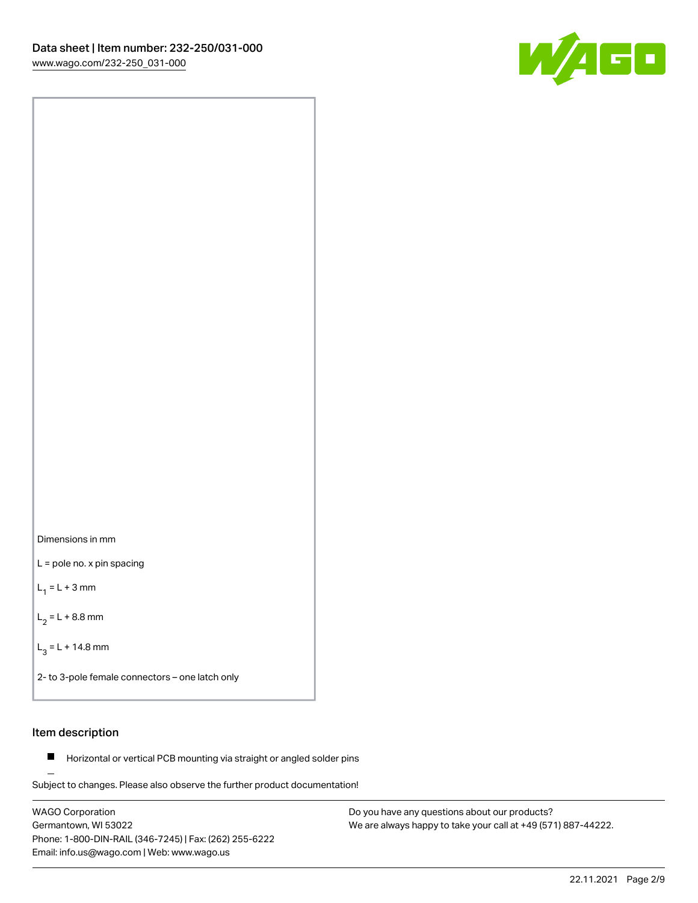



L = pole no. x pin spacing

 $L_1 = L + 3$  mm

 $L_2 = L + 8.8$  mm

 $L_3 = L + 14.8$  mm

2- to 3-pole female connectors – one latch only

### Item description

**Horizontal or vertical PCB mounting via straight or angled solder pins** 

Subject to changes. Please also observe the further product documentation! For board-to-board and board-to-wire connections

WAGO Corporation Germantown, WI 53022 Phone: 1-800-DIN-RAIL (346-7245) | Fax: (262) 255-6222 Email: info.us@wago.com | Web: www.wago.us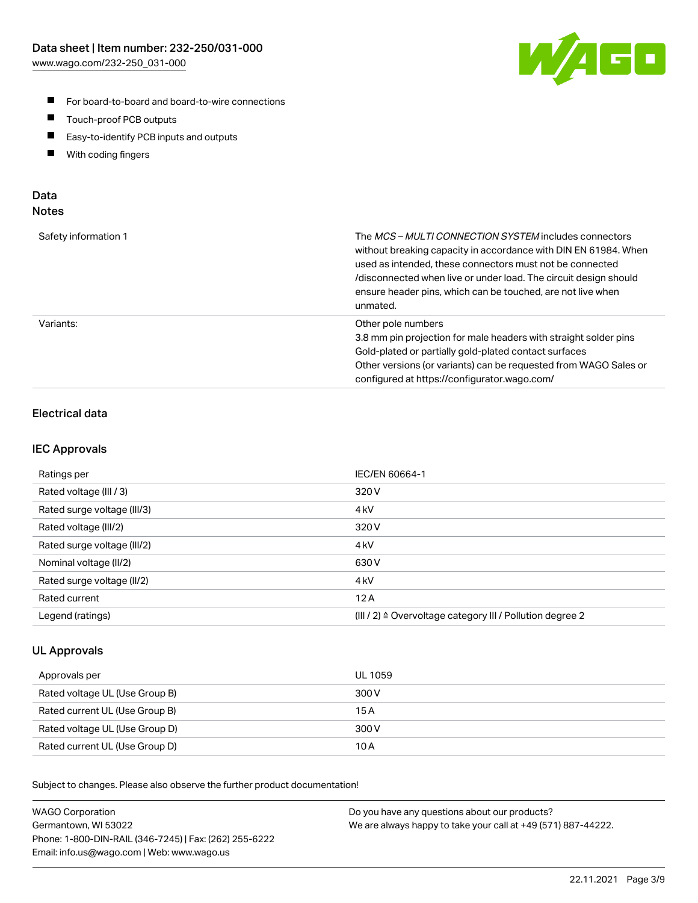

- For board-to-board and board-to-wire connections
- $\blacksquare$ Touch-proof PCB outputs
- $\blacksquare$ Easy-to-identify PCB inputs and outputs
- $\blacksquare$ With coding fingers

#### Data **Notes**

| Safety information 1 | The <i>MCS – MULTI CONNECTION SYSTEM</i> includes connectors<br>without breaking capacity in accordance with DIN EN 61984. When<br>used as intended, these connectors must not be connected<br>/disconnected when live or under load. The circuit design should<br>ensure header pins, which can be touched, are not live when<br>unmated. |
|----------------------|--------------------------------------------------------------------------------------------------------------------------------------------------------------------------------------------------------------------------------------------------------------------------------------------------------------------------------------------|
| Variants:            | Other pole numbers<br>3.8 mm pin projection for male headers with straight solder pins<br>Gold-plated or partially gold-plated contact surfaces<br>Other versions (or variants) can be requested from WAGO Sales or<br>configured at https://configurator.wago.com/                                                                        |

# Electrical data

#### IEC Approvals

| Ratings per                 | IEC/EN 60664-1                                                        |
|-----------------------------|-----------------------------------------------------------------------|
| Rated voltage (III / 3)     | 320 V                                                                 |
| Rated surge voltage (III/3) | 4 <sub>k</sub> V                                                      |
| Rated voltage (III/2)       | 320 V                                                                 |
| Rated surge voltage (III/2) | 4 <sub>k</sub> V                                                      |
| Nominal voltage (II/2)      | 630 V                                                                 |
| Rated surge voltage (II/2)  | 4 <sub>k</sub> V                                                      |
| Rated current               | 12A                                                                   |
| Legend (ratings)            | $(III / 2)$ $\triangle$ Overvoltage category III / Pollution degree 2 |

#### UL Approvals

| Approvals per                  | UL 1059 |
|--------------------------------|---------|
| Rated voltage UL (Use Group B) | 300 V   |
| Rated current UL (Use Group B) | 15 A    |
| Rated voltage UL (Use Group D) | 300 V   |
| Rated current UL (Use Group D) | 10 A    |

Subject to changes. Please also observe the further product documentation!

| <b>WAGO Corporation</b>                                | Do you have any questions about our products?                 |
|--------------------------------------------------------|---------------------------------------------------------------|
| Germantown, WI 53022                                   | We are always happy to take your call at +49 (571) 887-44222. |
| Phone: 1-800-DIN-RAIL (346-7245)   Fax: (262) 255-6222 |                                                               |
| Email: info.us@wago.com   Web: www.wago.us             |                                                               |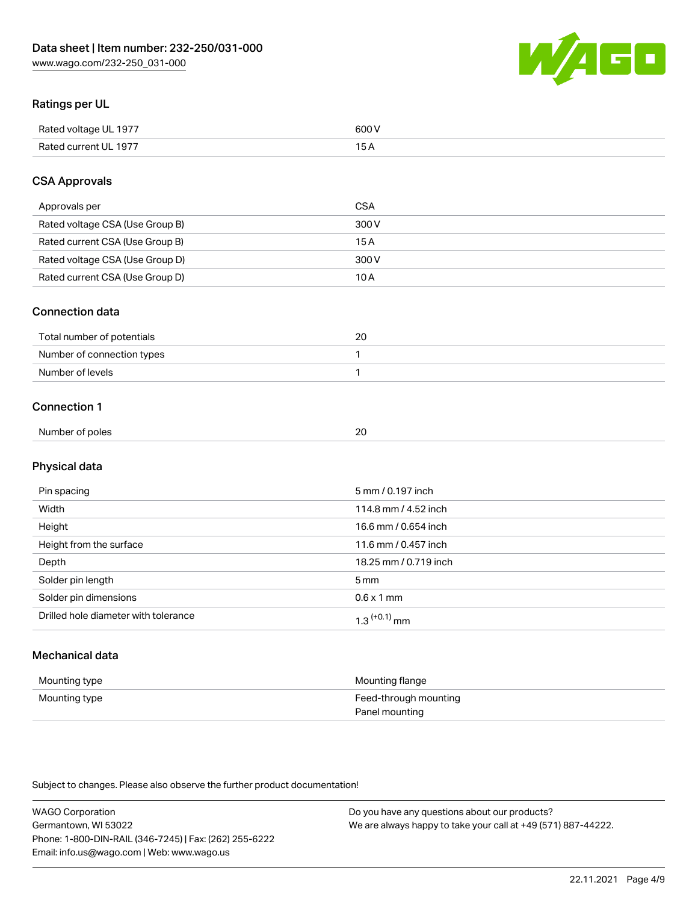

# Ratings per UL

| Rated voltage UL 1977 | 600   |
|-----------------------|-------|
| Rated current UL 1977 | . O F |

### CSA Approvals

| Approvals per                   | <b>CSA</b> |
|---------------------------------|------------|
| Rated voltage CSA (Use Group B) | 300 V      |
| Rated current CSA (Use Group B) | 15 A       |
| Rated voltage CSA (Use Group D) | 300 V      |
| Rated current CSA (Use Group D) | 10 A       |

#### Connection data

| Total number of potentials |  |
|----------------------------|--|
| Number of connection types |  |
| Number of levels           |  |

#### Connection 1

| Number of poles                                                                                                 | 20 |
|-----------------------------------------------------------------------------------------------------------------|----|
| the contract of the contract of the contract of the contract of the contract of the contract of the contract of |    |

# Physical data

| Pin spacing                          | 5 mm / 0.197 inch     |
|--------------------------------------|-----------------------|
| Width                                | 114.8 mm / 4.52 inch  |
| Height                               | 16.6 mm / 0.654 inch  |
| Height from the surface              | 11.6 mm / 0.457 inch  |
| Depth                                | 18.25 mm / 0.719 inch |
| Solder pin length                    | 5 <sub>mm</sub>       |
| Solder pin dimensions                | $0.6 \times 1$ mm     |
| Drilled hole diameter with tolerance | $1.3$ $(+0.1)$ mm     |

# Mechanical data

| Mounting type | Mounting flange                         |
|---------------|-----------------------------------------|
| Mounting type | Feed-through mounting<br>Panel mounting |

Subject to changes. Please also observe the further product documentation!

| <b>WAGO Corporation</b>                                | Do you have any questions about our products?                 |
|--------------------------------------------------------|---------------------------------------------------------------|
| Germantown, WI 53022                                   | We are always happy to take your call at +49 (571) 887-44222. |
| Phone: 1-800-DIN-RAIL (346-7245)   Fax: (262) 255-6222 |                                                               |
| Email: info.us@wago.com   Web: www.wago.us             |                                                               |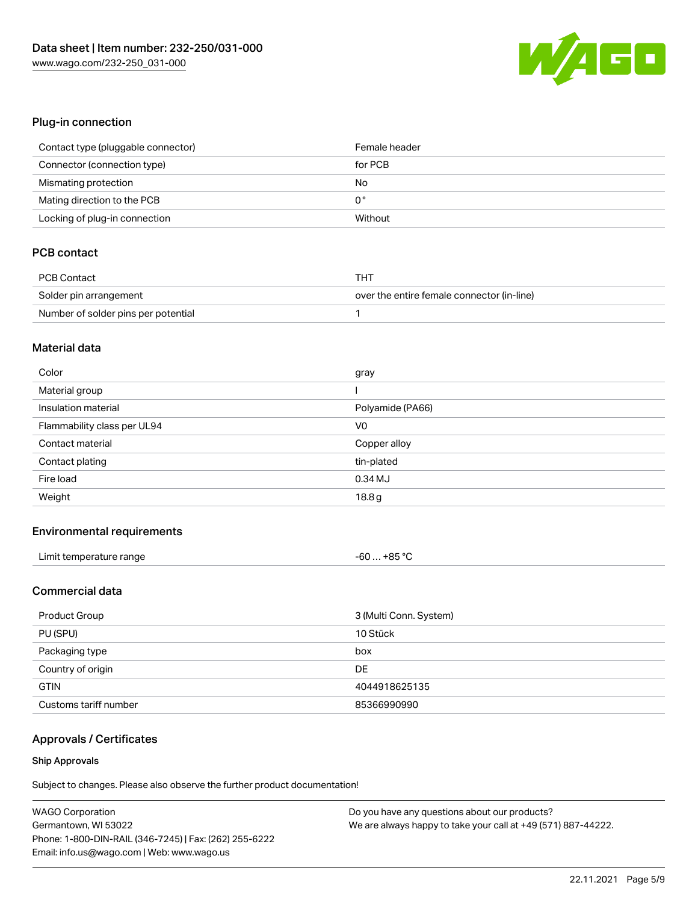

### Plug-in connection

| Contact type (pluggable connector) | Female header |
|------------------------------------|---------------|
| Connector (connection type)        | for PCB       |
| Mismating protection               | No            |
| Mating direction to the PCB        | 0°            |
| Locking of plug-in connection      | Without       |

# PCB contact

| <b>PCB Contact</b>                  | THT                                        |
|-------------------------------------|--------------------------------------------|
| Solder pin arrangement              | over the entire female connector (in-line) |
| Number of solder pins per potential |                                            |

#### Material data

| Color                       | gray             |
|-----------------------------|------------------|
| Material group              |                  |
| Insulation material         | Polyamide (PA66) |
| Flammability class per UL94 | V <sub>0</sub>   |
| Contact material            | Copper alloy     |
|                             |                  |
| Contact plating             | tin-plated       |
| Fire load                   | $0.34$ MJ        |

#### Environmental requirements

| Limit temperature range | $-60+85 °C$ |
|-------------------------|-------------|
|-------------------------|-------------|

# Commercial data

| Product Group         | 3 (Multi Conn. System) |
|-----------------------|------------------------|
| PU (SPU)              | 10 Stück               |
| Packaging type        | box                    |
| Country of origin     | DE                     |
| <b>GTIN</b>           | 4044918625135          |
| Customs tariff number | 85366990990            |

# Approvals / Certificates

#### Ship Approvals

Subject to changes. Please also observe the further product documentation!

| <b>WAGO Corporation</b>                                | Do you have any questions about our products?                 |
|--------------------------------------------------------|---------------------------------------------------------------|
| Germantown, WI 53022                                   | We are always happy to take your call at +49 (571) 887-44222. |
| Phone: 1-800-DIN-RAIL (346-7245)   Fax: (262) 255-6222 |                                                               |
| Email: info.us@wago.com   Web: www.wago.us             |                                                               |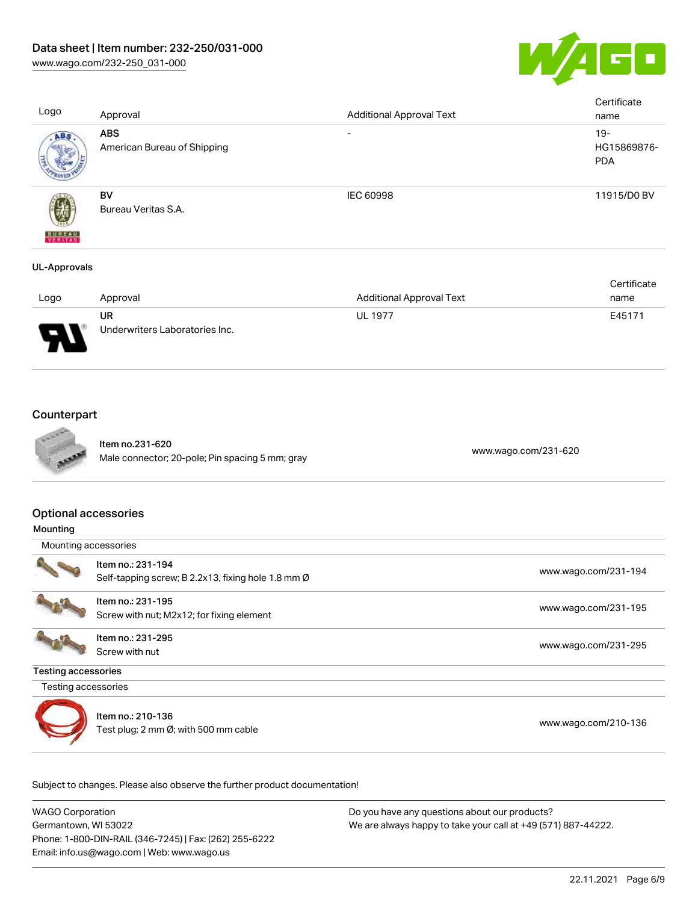

| Logo                | Approval                                  | <b>Additional Approval Text</b> | Certificate<br>name                 |
|---------------------|-------------------------------------------|---------------------------------|-------------------------------------|
| ABS.                | <b>ABS</b><br>American Bureau of Shipping | -                               | $19 -$<br>HG15869876-<br><b>PDA</b> |
| <b>BUREAU</b>       | BV<br>Bureau Veritas S.A.                 | IEC 60998                       | 11915/D0 BV                         |
| <b>UL-Approvals</b> |                                           |                                 |                                     |

|      |                                |                                 | Certificate |
|------|--------------------------------|---------------------------------|-------------|
| Logo | Approval                       | <b>Additional Approval Text</b> | name        |
|      | UR                             | <b>UL 1977</b>                  | E45171      |
| J    | Underwriters Laboratories Inc. |                                 |             |

# **Counterpart**



Item no.231-620 nem no.251-620<br>Male connector; 20-pole; Pin spacing 5 mm; gray [www.wago.com/231-620](https://www.wago.com/231-620)

#### Optional accessories

| Mounting |  |
|----------|--|
|----------|--|

Mounting accessories



Item no.: 231-194 Self-tapping screw; B 2.2x13, fixing hole 1.8 mm Ø [www.wago.com/231-194](http://www.wago.com/231-194)



Item no.: 231-195 nem no.. 231-195<br>Screw with nut; M2x12; for fixing element [www.wago.com/231-195](http://www.wago.com/231-195)

Item no.: 231-295 Screw with nut [www.wago.com/231-295](http://www.wago.com/231-295)

Testing accessories

Testing accessories



Item no.: 210-136 nem no.. 2 10-130<br>Test plug; 2 mm Ø; with 500 mm cable [www.wago.com/210-136](http://www.wago.com/210-136)

Subject to changes. Please also observe the further product documentation!

WAGO Corporation Germantown, WI 53022 Phone: 1-800-DIN-RAIL (346-7245) | Fax: (262) 255-6222 Email: info.us@wago.com | Web: www.wago.us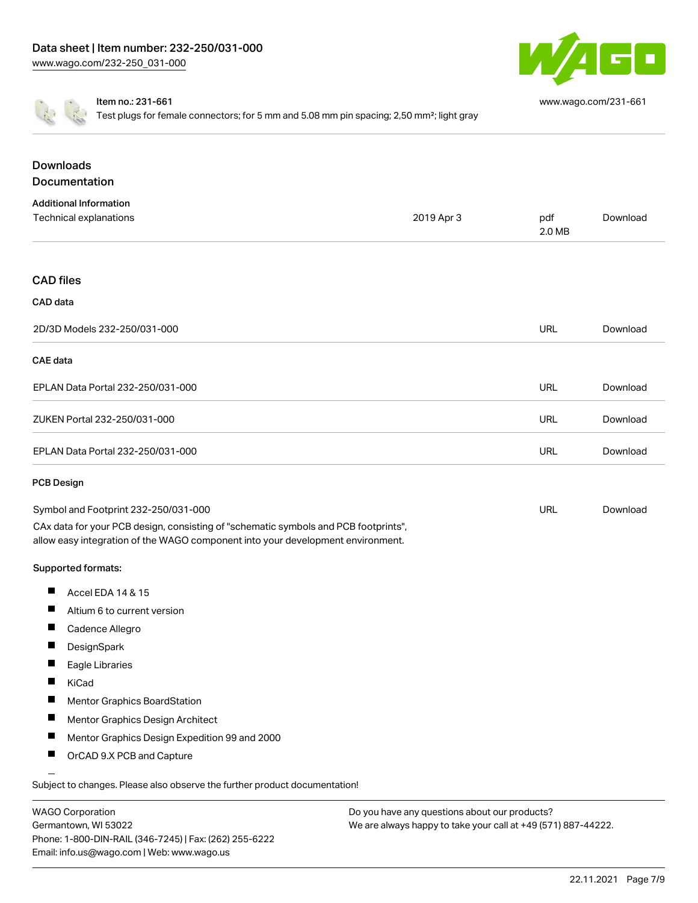

[www.wago.com/231-661](http://www.wago.com/231-661)

Item no.: 231-661

Test plugs for female connectors; for 5 mm and 5.08 mm pin spacing; 2,50 mm<sup>2</sup>; light gray

| <b>Downloads</b><br>Documentation                                                                                                                                                                              |            |               |          |
|----------------------------------------------------------------------------------------------------------------------------------------------------------------------------------------------------------------|------------|---------------|----------|
| <b>Additional Information</b>                                                                                                                                                                                  |            |               |          |
| Technical explanations                                                                                                                                                                                         | 2019 Apr 3 | pdf<br>2.0 MB | Download |
| <b>CAD files</b>                                                                                                                                                                                               |            |               |          |
| CAD data                                                                                                                                                                                                       |            |               |          |
| 2D/3D Models 232-250/031-000                                                                                                                                                                                   |            | <b>URL</b>    | Download |
| <b>CAE</b> data                                                                                                                                                                                                |            |               |          |
| EPLAN Data Portal 232-250/031-000                                                                                                                                                                              |            | <b>URL</b>    | Download |
| ZUKEN Portal 232-250/031-000                                                                                                                                                                                   |            | <b>URL</b>    | Download |
| EPLAN Data Portal 232-250/031-000                                                                                                                                                                              |            | URL           | Download |
| <b>PCB Design</b>                                                                                                                                                                                              |            |               |          |
| Symbol and Footprint 232-250/031-000<br>CAx data for your PCB design, consisting of "schematic symbols and PCB footprints",<br>allow easy integration of the WAGO component into your development environment. |            | <b>URL</b>    | Download |
| Supported formats:                                                                                                                                                                                             |            |               |          |
| ш<br>Accel EDA 14 & 15                                                                                                                                                                                         |            |               |          |
| ш<br>Altium 6 to current version                                                                                                                                                                               |            |               |          |
| Cadence Allegro                                                                                                                                                                                                |            |               |          |
| DesignSpark                                                                                                                                                                                                    |            |               |          |
| Eagle Libraries                                                                                                                                                                                                |            |               |          |
| ш<br>KiCad                                                                                                                                                                                                     |            |               |          |
| Mentor Graphics BoardStation                                                                                                                                                                                   |            |               |          |
| ш<br>Mentor Graphics Design Architect                                                                                                                                                                          |            |               |          |
| ш<br>Mentor Graphics Design Expedition 99 and 2000                                                                                                                                                             |            |               |          |
| OrCAD 9.X PCB and Capture                                                                                                                                                                                      |            |               |          |

Subject to changes. Please also observe the further product documentation!

| <b>WAGO Corporation</b>                                |
|--------------------------------------------------------|
| Germantown, WI 53022                                   |
| Phone: 1-800-DIN-RAIL (346-7245)   Fax: (262) 255-6222 |
| Email: info.us@wago.com   Web: www.wago.us             |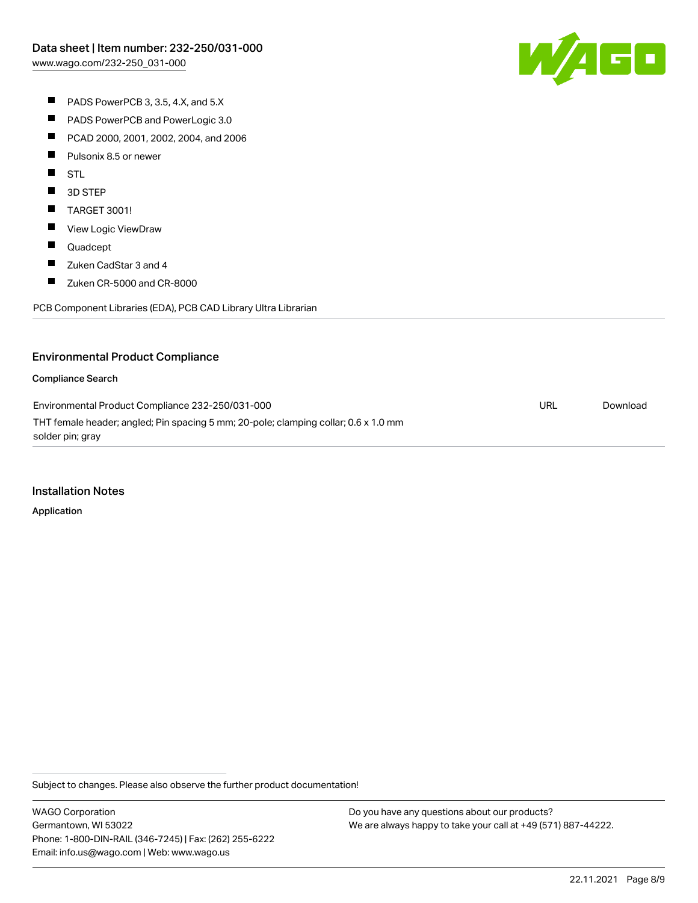W/AGC

- PADS PowerPCB 3, 3.5, 4.X, and 5.X
- $\blacksquare$ PADS PowerPCB and PowerLogic 3.0
- $\blacksquare$ PCAD 2000, 2001, 2002, 2004, and 2006
- $\blacksquare$ Pulsonix 8.5 or newer
- **STL**
- $\blacksquare$ 3D STEP
- $\blacksquare$ TARGET 3001!
- $\blacksquare$ View Logic ViewDraw
- $\blacksquare$ Quadcept
- $\blacksquare$ Zuken CadStar 3 and 4
- $\blacksquare$ Zuken CR-5000 and CR-8000

PCB Component Libraries (EDA), PCB CAD Library Ultra Librarian

# Environmental Product Compliance

#### Compliance Search

Environmental Product Compliance 232-250/031-000 THT female header; angled; Pin spacing 5 mm; 20-pole; clamping collar; 0.6 x 1.0 mm solder pin; gray URL [Download](https://www.wago.com/global/d/ComplianceLinkMediaContainer_232-250_031-000)

#### Installation Notes

Application

Subject to changes. Please also observe the further product documentation!